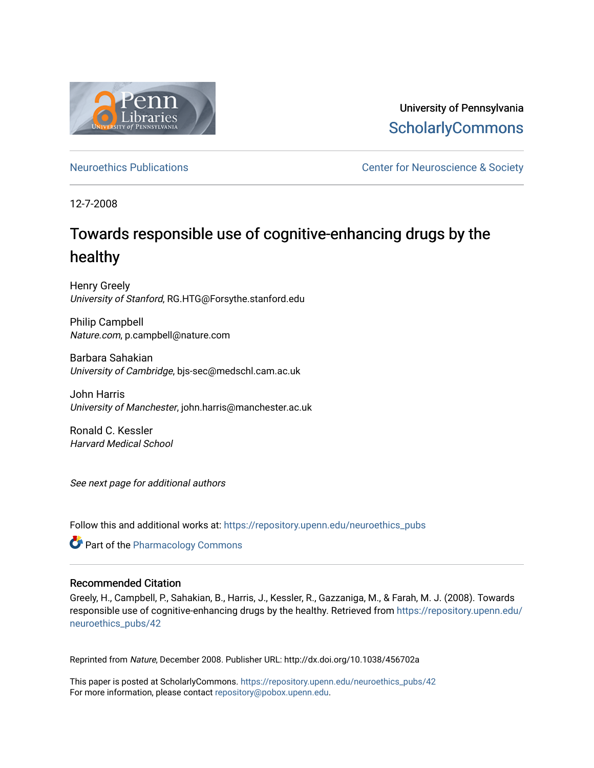

University of Pennsylvania **ScholarlyCommons** 

[Neuroethics Publications](https://repository.upenn.edu/neuroethics_pubs) **Neuroethics** Publications **Center for Neuroscience & Society** 

12-7-2008

# Towards responsible use of cognitive-enhancing drugs by the healthy

Henry Greely University of Stanford, RG.HTG@Forsythe.stanford.edu

Philip Campbell Nature.com, p.campbell@nature.com

Barbara Sahakian University of Cambridge, bjs-sec@medschl.cam.ac.uk

John Harris University of Manchester, john.harris@manchester.ac.uk

Ronald C. Kessler Harvard Medical School

See next page for additional authors

Follow this and additional works at: [https://repository.upenn.edu/neuroethics\\_pubs](https://repository.upenn.edu/neuroethics_pubs?utm_source=repository.upenn.edu%2Fneuroethics_pubs%2F42&utm_medium=PDF&utm_campaign=PDFCoverPages)

Part of the [Pharmacology Commons](http://network.bepress.com/hgg/discipline/66?utm_source=repository.upenn.edu%2Fneuroethics_pubs%2F42&utm_medium=PDF&utm_campaign=PDFCoverPages) 

## Recommended Citation

Greely, H., Campbell, P., Sahakian, B., Harris, J., Kessler, R., Gazzaniga, M., & Farah, M. J. (2008). Towards responsible use of cognitive-enhancing drugs by the healthy. Retrieved from [https://repository.upenn.edu/](https://repository.upenn.edu/neuroethics_pubs/42?utm_source=repository.upenn.edu%2Fneuroethics_pubs%2F42&utm_medium=PDF&utm_campaign=PDFCoverPages) [neuroethics\\_pubs/42](https://repository.upenn.edu/neuroethics_pubs/42?utm_source=repository.upenn.edu%2Fneuroethics_pubs%2F42&utm_medium=PDF&utm_campaign=PDFCoverPages) 

Reprinted from Nature, December 2008. Publisher URL: http://dx.doi.org/10.1038/456702a

This paper is posted at ScholarlyCommons. [https://repository.upenn.edu/neuroethics\\_pubs/42](https://repository.upenn.edu/neuroethics_pubs/42) For more information, please contact [repository@pobox.upenn.edu.](mailto:repository@pobox.upenn.edu)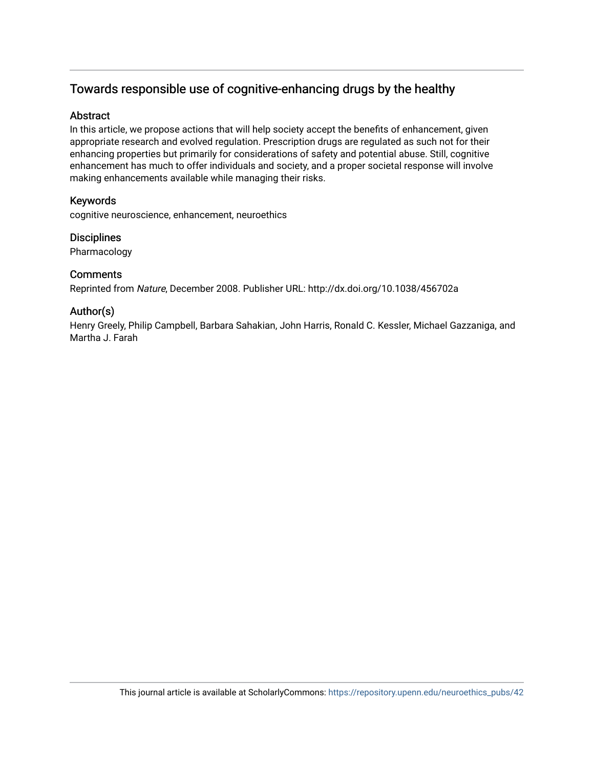# Towards responsible use of cognitive-enhancing drugs by the healthy

## Abstract

In this article, we propose actions that will help society accept the benefits of enhancement, given appropriate research and evolved regulation. Prescription drugs are regulated as such not for their enhancing properties but primarily for considerations of safety and potential abuse. Still, cognitive enhancement has much to offer individuals and society, and a proper societal response will involve making enhancements available while managing their risks.

# Keywords

cognitive neuroscience, enhancement, neuroethics

## **Disciplines**

Pharmacology

## **Comments**

Reprinted from Nature, December 2008. Publisher URL: http://dx.doi.org/10.1038/456702a

# Author(s)

Henry Greely, Philip Campbell, Barbara Sahakian, John Harris, Ronald C. Kessler, Michael Gazzaniga, and Martha J. Farah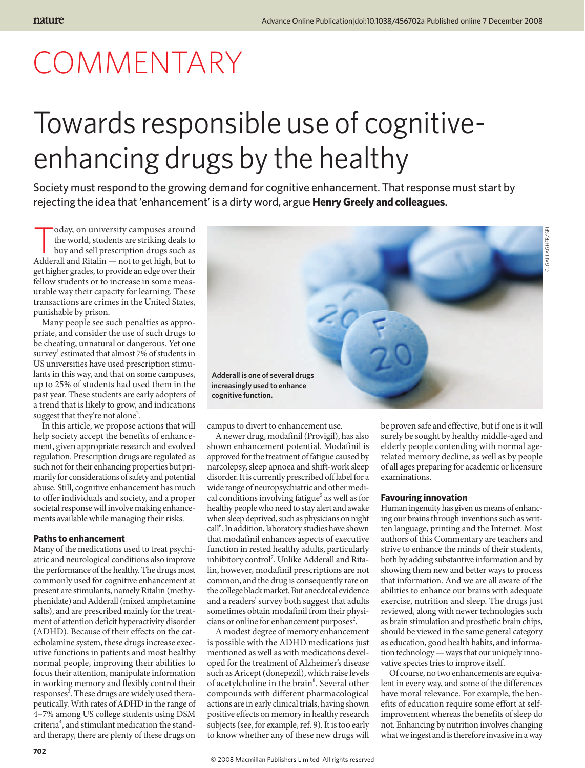# COMMENTARY

nature

# Towards responsible use of cognitiveenhancing drugs by the healthy

Society must respond to the growing demand for cognitive enhancement. That response must start by rejecting the idea that 'enhancement' is a dirty word, argue **Henry Greely and colleagues**.

'oday, on university campuses around the world, students are striking deals to buy and sell prescription drugs such as Adderall and Ritalin — not to get high, but to get higher grades, to provide an edge over their fellow students or to increase in some measurable way their capacity for learning. These transactions are crimes in the United States, punishable by prison.

Many people see such penalties as appropriate, and consider the use of such drugs to be cheating, unnatural or dangerous. Yet one survey<sup>1</sup> estimated that almost 7% of students in US universities have used prescription stimulants in this way, and that on some campuses, up to 25% of students had used them in the past year. These students are early adopters of a trend that is likely to grow, and indications suggest that they're not alone<sup>2</sup>.

In this article, we propose actions that will help society accept the benefits of enhancement, given appropriate research and evolved regulation. Prescription drugs are regulated as such not for their enhancing properties but primarily for considerations of safety and potential abuse. Still, cognitive enhancement has much to offer individuals and society, and a proper societal response will involve making enhancements available while managing their risks.

### **Paths to enhancement**

Many of the medications used to treat psychiatric and neurological conditions also improve the performance of the healthy. The drugs most commonly used for cognitive enhancement at present are stimulants, namely Ritalin (methyphenidate) and Adderall (mixed amphetamine salts), and are prescribed mainly for the treatment of attention deficit hyperactivity disorder (ADHD). Because of their effects on the catecholamine system, these drugs increase executive functions in patients and most healthy normal people, improving their abilities to focus their attention, manipulate information in working memory and flexibly control their responses<sup>3</sup>. These drugs are widely used therapeutically. With rates of ADHD in the range of 4–7% among US college students using DSM criteria<sup>4</sup>, and stimulant medication the standard therapy, there are plenty of these drugs on



campus to divert to enhancement use.

A newer drug, modafinil (Provigil), has also shown enhancement potential. Modafinil is approved for the treatment of fatigue caused by narcolepsy, sleep apnoea and shift-work sleep disorder. It is currently prescribed off label for a wide range of neuropsychiatric and other medical conditions involving fatigue<sup>5</sup> as well as for healthy people who need to stay alert and awake when sleep deprived, such as physicians on night call<sup>6</sup>. In addition, laboratory studies have shown that modafinil enhances aspects of executive function in rested healthy adults, particularly inhibitory control<sup>7</sup>. Unlike Adderall and Ritalin, however, modafinil prescriptions are not common, and the drug is consequently rare on the college black market. But anecdotal evidence and a readers' survey both suggest that adults sometimes obtain modafinil from their physicians or online for enhancement purposes<sup>2</sup>.

A modest degree of memory enhancement is possible with the ADHD medications just mentioned as well as with medications developed for the treatment of Alzheimer's disease such as Aricept (donepezil), which raise levels of acetylcholine in the brain<sup>8</sup>. Several other compounds with different pharmacological actions are in early clinical trials, having shown positive effects on memory in healthy research subjects (see, for example, ref. 9). It is too early to know whether any of these new drugs will

be proven safe and effective, but if one is it will surely be sought by healthy middle-aged and elderly people contending with normal agerelated memory decline, as well as by people of all ages preparing for academic or licensure examinations.

### **Favouring innovation**

Human ingenuity has given us means of enhancing our brains through inventions such as written language, printing and the Internet. Most authors of this Commentary are teachers and strive to enhance the minds of their students, both by adding substantive information and by showing them new and better ways to process that information. And we are all aware of the abilities to enhance our brains with adequate exercise, nutrition and sleep. The drugs just reviewed, along with newer technologies such as brain stimulation and prosthetic brain chips, should be viewed in the same general category as education, good health habits, and information technology — ways that our uniquely innovative species tries to improve itself.

Of course, no two enhancements are equivalent in every way, and some of the differences have moral relevance. For example, the benefits of education require some effort at selfimprovement whereas the benefits of sleep do not. Enhancing by nutrition involves changing what we ingest and is therefore invasive in a way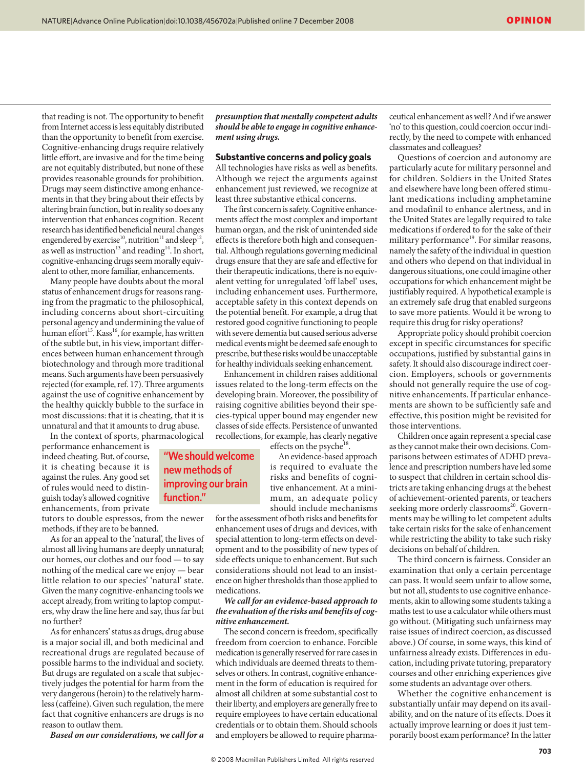that reading is not. The opportunity to benefit from Internet access is less equitably distributed than the opportunity to benefit from exercise. Cognitive-enhancing drugs require relatively little effort, are invasive and for the time being are not equitably distributed, but none of these provides reasonable grounds for prohibition. Drugs may seem distinctive among enhancements in that they bring about their effects by altering brain function, but in reality so does any intervention that enhances cognition. Recent research has identified beneficial neural changes engendered by exercise<sup>10</sup>, nutrition<sup>11</sup> and sleep<sup>12</sup>, as well as instruction<sup>13</sup> and reading<sup>14</sup>. In short, cognitive-enhancing drugs seem morally equivalent to other, more familiar, enhancements.

Many people have doubts about the moral status of enhancement drugs for reasons ranging from the pragmatic to the philosophical, including concerns about short-circuiting personal agency and undermining the value of human effort<sup>15</sup>. Kass<sup>16</sup>, for example, has written of the subtle but, in his view, important differences between human enhancement through biotechnology and through more traditional means. Such arguments have been persuasively rejected (for example, ref. 17). Three arguments against the use of cognitive enhancement by the healthy quickly bubble to the surface in most discussions: that it is cheating, that it is unnatural and that it amounts to drug abuse.

In the context of sports, pharmacological

**"We should welcome new methods of improving our brain** 

**function."**

performance enhancement is indeed cheating. But, of course, it is cheating because it is against the rules. Any good set of rules would need to distinguish today's allowed cognitive enhancements, from private

tutors to double espressos, from the newer methods, if they are to be banned.

As for an appeal to the 'natural', the lives of almost all living humans are deeply unnatural; our homes, our clothes and our food — to say nothing of the medical care we enjoy — bear little relation to our species' 'natural' state. Given the many cognitive-enhancing tools we accept already, from writing to laptop computers, why draw the line here and say, thus far but no further?

As for enhancers' status as drugs, drug abuse is a major social ill, and both medicinal and recreational drugs are regulated because of possible harms to the individual and society. But drugs are regulated on a scale that subjectively judges the potential for harm from the very dangerous (heroin) to the relatively harmless (caffeine). Given such regulation, the mere fact that cognitive enhancers are drugs is no reason to outlaw them.

*Based on our considerations, we call for a* 

*presumption that mentally competent adults should be able to engage in cognitive enhancement using drugs.*

### **Substantive concerns and policy goals**

All technologies have risks as well as benefits. Although we reject the arguments against enhancement just reviewed, we recognize at least three substantive ethical concerns.

The first concern is safety. Cognitive enhancements affect the most complex and important human organ, and the risk of unintended side effects is therefore both high and consequential. Although regulations governing medicinal drugs ensure that they are safe and effective for their therapeutic indications, there is no equivalent vetting for unregulated 'off label' uses, including enhancement uses. Furthermore, acceptable safety in this context depends on the potential benefit. For example, a drug that restored good cognitive functioning to people with severe dementia but caused serious adverse medical events might be deemed safe enough to prescribe, but these risks would be unacceptable for healthy individuals seeking enhancement.

Enhancement in children raises additional issues related to the long-term effects on the developing brain. Moreover, the possibility of raising cognitive abilities beyond their species-typical upper bound may engender new classes of side effects. Persistence of unwanted recollections, for example, has clearly negative effects on the psyche $18$ .

An evidence-based approach is required to evaluate the risks and benefits of cognitive enhancement. At a mini-

mum, an adequate policy

should include mechanisms for the assessment of both risks and benefits for enhancement uses of drugs and devices, with special attention to long-term effects on development and to the possibility of new types of side effects unique to enhancement. But such considerations should not lead to an insistence on higher thresholds than those applied to medications.

#### *We call for an evidence-based approach to the evaluation of the risks and benefits of cognitive enhancement.*

The second concern is freedom, specifically freedom from coercion to enhance. Forcible medication is generally reserved for rare cases in which individuals are deemed threats to themselves or others. In contrast, cognitive enhancement in the form of education is required for almost all children at some substantial cost to their liberty, and employers are generally free to require employees to have certain educational credentials or to obtain them. Should schools and employers be allowed to require pharmaceutical enhancement as well? And if we answer 'no' to this question, could coercion occur indirectly, by the need to compete with enhanced classmates and colleagues?

Questions of coercion and autonomy are particularly acute for military personnel and for children. Soldiers in the United States and elsewhere have long been offered stimulant medications including amphetamine and modafinil to enhance alertness, and in the United States are legally required to take medications if ordered to for the sake of their modeled to the state of the state of them namely the safety of the individual in question and others who depend on that individual in dangerous situations, one could imagine other occupations for which enhancement might be justifiably required. A hypothetical example is an extremely safe drug that enabled surgeons to save more patients. Would it be wrong to require this drug for risky operations?

Appropriate policy should prohibit coercion except in specific circumstances for specific occupations, justified by substantial gains in safety. It should also discourage indirect coercion. Employers, schools or governments should not generally require the use of cognitive enhancements. If particular enhancements are shown to be sufficiently safe and effective, this position might be revisited for those interventions.

Children once again represent a special case as they cannot make their own decisions. Comparisons between estimates of ADHD prevalence and prescription numbers have led some to suspect that children in certain school districts are taking enhancing drugs at the behest of achievement-oriented parents, or teachers seeking more orderly classrooms<sup>20</sup>. Governments may be willing to let competent adults take certain risks for the sake of enhancement while restricting the ability to take such risky decisions on behalf of children.

The third concern is fairness. Consider an examination that only a certain percentage can pass. It would seem unfair to allow some, but not all, students to use cognitive enhancements, akin to allowing some students taking a maths test to use a calculator while others must go without. (Mitigating such unfairness may raise issues of indirect coercion, as discussed above.) Of course, in some ways, this kind of unfairness already exists. Differences in education, including private tutoring, preparatory courses and other enriching experiences give some students an advantage over others.

Whether the cognitive enhancement is substantially unfair may depend on its availability, and on the nature of its effects. Does it actually improve learning or does it just temporarily boost exam performance? In the latter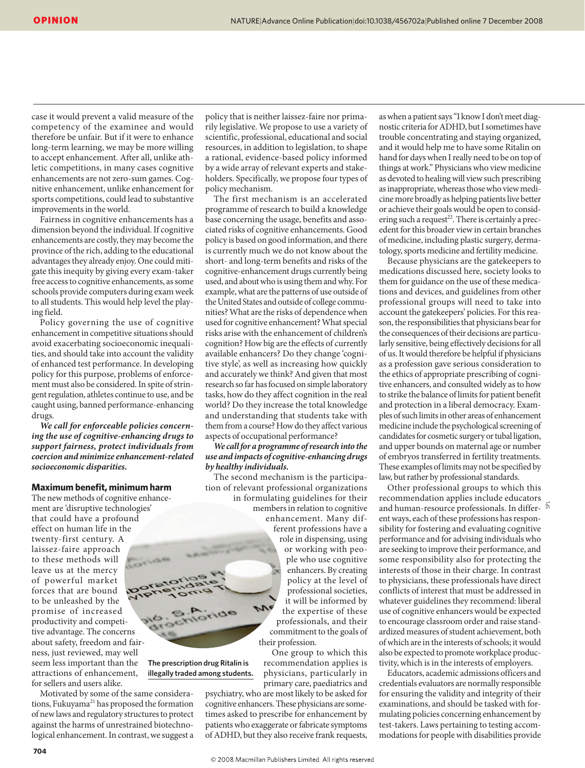case it would prevent a valid measure of the competency of the examinee and would therefore be unfair. But if it were to enhance long-term learning, we may be more willing to accept enhancement. After all, unlike athletic competitions, in many cases cognitive enhancements are not zero-sum games. Cognitive enhancement, unlike enhancement for sports competitions, could lead to substantive improvements in the world.

Fairness in cognitive enhancements has a dimension beyond the individual. If cognitive enhancements are costly, they may become the province of the rich, adding to the educational advantages they already enjoy. One could mitigate this inequity by giving every exam-taker free access to cognitive enhancements, as some schools provide computers during exam week to all students. This would help level the playing field.

Policy governing the use of cognitive enhancement in competitive situations should avoid exacerbating socioeconomic inequalities, and should take into account the validity of enhanced test performance. In developing policy for this purpose, problems of enforcement must also be considered. In spite of stringent regulation, athletes continue to use, and be caught using, banned performance-enhancing drugs.

*We call for enforceable policies concerning the use of cognitive-enhancing drugs to support fairness, protect individuals from coercion and minimize enhancement-related socioeconomic disparities.*

#### **Maximum benefit, minimum harm**

The new methods of cognitive enhancement are 'disruptive technologies' that could have a profound effect on human life in the twenty-first century. A laissez-faire approach to these methods will leave us at the mercy of powerful market forces that are bound to be unleashed by the promise of increased productivity and competitive advantage. The concerns about safety, freedom and fairness, just reviewed, may well seem less important than the attractions of enhancement, for sellers and users alike. **The prescription drug Ritalin is illegally traded among students.**

Motivated by some of the same considerations, Fukuyama<sup>21</sup> has proposed the formation of new laws and regulatory structures to protect against the harms of unrestrained biotechnological enhancement. In contrast, we suggest a policy that is neither laissez-faire nor primarily legislative. We propose to use a variety of scientific, professional, educational and social resources, in addition to legislation, to shape a rational, evidence-based policy informed by a wide array of relevant experts and stakeholders. Specifically, we propose four types of policy mechanism.

The first mechanism is an accelerated programme of research to build a knowledge base concerning the usage, benefits and associated risks of cognitive enhancements. Good policy is based on good information, and there is currently much we do not know about the short- and long-term benefits and risks of the cognitive-enhancement drugs currently being used, and about who is using them and why. For example, what are the patterns of use outside of the United States and outside of college communities? What are the risks of dependence when used for cognitive enhancement? What special risks arise with the enhancement of children's cognition? How big are the effects of currently available enhancers? Do they change 'cognitive style', as well as increasing how quickly and accurately we think? And given that most research so far has focused on simple laboratory tasks, how do they affect cognition in the real world? Do they increase the total knowledge and understanding that students take with them from a course? How do they affect various aspects of occupational performance?

*We call for a programme of research into the use and impacts of cognitive-enhancing drugs by healthy individuals.*

The second mechanism is the participation of relevant professional organizations in formulating guidelines for their members in relation to cognitive enhancement. Many different professions have a role in dispensing, using or working with people who use cognitive enhancers. By creating policy at the level of professional societies, it will be informed by  $\mu$ ve **B**biro the expertise of these professionals, and their commitment to the goals of their profession.

> One group to which this recommendation applies is physicians, particularly in primary care, paediatrics and

psychiatry, who are most likely to be asked for cognitive enhancers. These physicians are sometimes asked to prescribe for enhancement by patients who exaggerate or fabricate symptoms of ADHD, but they also receive frank requests,

as when a patient says "I know I don't meet diagnostic criteria for ADHD, but I sometimes have trouble concentrating and staying organized, and it would help me to have some Ritalin on hand for days when I really need to be on top of things at work." Physicians who view medicine as devoted to healing will view such prescribing as inappropriate, whereas those who view medicine more broadly as helping patients live better or achieve their goals would be open to considering such a request<sup>22</sup>. There is certainly a precedent for this broader view in certain branches of medicine, including plastic surgery, dermatology, sports medicine and fertility medicine.

Because physicians are the gatekeepers to medications discussed here, society looks to them for guidance on the use of these medications and devices, and guidelines from other professional groups will need to take into account the gatekeepers' policies. For this reason, the responsibilities that physicians bear for the consequences of their decisions are particularly sensitive, being effectively decisions for all of us. It would therefore be helpful if physicians as a profession gave serious consideration to the ethics of appropriate prescribing of cognitive enhancers, and consulted widely as to how to strike the balance of limits for patient benefit and protection in a liberal democracy. Examples of such limits in other areas of enhancement medicine include the psychological screening of candidates for cosmetic surgery or tubal ligation, and upper bounds on maternal age or number of embryos transferred in fertility treatments. These examples of limits may not be specified by law, but rather by professional standards.

Other professional groups to which this recommendation applies include educators and human-resource professionals. In different ways, each of these professions has responsibility for fostering and evaluating cognitive performance and for advising individuals who are seeking to improve their performance, and some responsibility also for protecting the interests of those in their charge. In contrast to physicians, these professionals have direct conflicts of interest that must be addressed in whatever guidelines they recommend: liberal use of cognitive enhancers would be expected to encourage classroom order and raise standardized measures of student achievement, both of which are in the interests of schools; it would also be expected to promote workplace productivity, which is in the interests of employers.

Educators, academic admissions officers and credentials evaluators are normally responsible for ensuring the validity and integrity of their examinations, and should be tasked with formulating policies concerning enhancement by test-takers. Laws pertaining to testing accommodations for people with disabilities provide